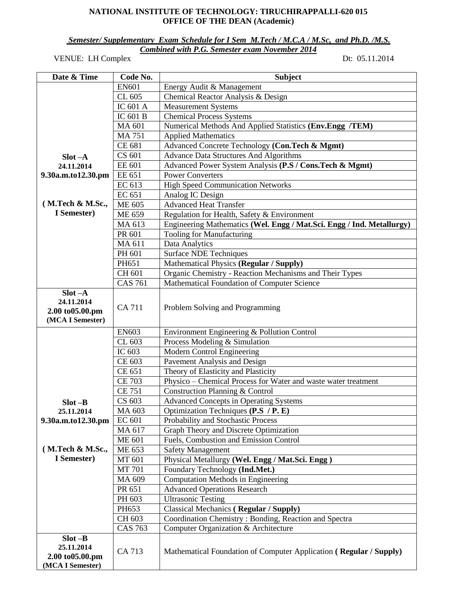#### **NATIONAL INSTITUTE OF TECHNOLOGY: TIRUCHIRAPPALLI-620 015 OFFICE OF THE DEAN (Academic)**

*Semester/ Supplementary Exam Schedule for I Sem M.Tech / M.C.A / M.Sc, and Ph.D. /M.S. Combined with P.G. Semester exam November 2014* 

VENUE: LH Complex Dt: 05.11.2014

| Date & Time                                                     | Code No.                   | <b>Subject</b>                                                        |
|-----------------------------------------------------------------|----------------------------|-----------------------------------------------------------------------|
|                                                                 | <b>EN601</b>               | Energy Audit & Management                                             |
|                                                                 | CL 605                     | Chemical Reactor Analysis & Design                                    |
|                                                                 | $\overline{IC}$ 601 A      | <b>Measurement Systems</b>                                            |
|                                                                 | IC 601 B                   | <b>Chemical Process Systems</b>                                       |
|                                                                 | MA 601                     | Numerical Methods And Applied Statistics (Env.Engg /TEM)              |
|                                                                 | <b>MA 751</b>              | <b>Applied Mathematics</b>                                            |
|                                                                 | CE 681                     | Advanced Concrete Technology (Con.Tech & Mgmt)                        |
| $Slot - A$                                                      | CS 601                     | <b>Advance Data Structures And Algorithms</b>                         |
| 24.11.2014                                                      | <b>EE 601</b>              | Advanced Power System Analysis (P.S / Cons.Tech & Mgmt)               |
| 9.30a.m.to12.30.pm                                              | EE 651                     | <b>Power Converters</b>                                               |
|                                                                 | EC 613                     | <b>High Speed Communication Networks</b>                              |
|                                                                 | EC 651                     | Analog IC Design                                                      |
| (M.Tech & M.Sc.,                                                | $\overline{\text{ME}}$ 605 | <b>Advanced Heat Transfer</b>                                         |
| I Semester)                                                     | ME 659                     | Regulation for Health, Safety & Environment                           |
|                                                                 | MA 613                     | Engineering Mathematics (Wel. Engg / Mat.Sci. Engg / Ind. Metallurgy) |
|                                                                 | PR 601                     | Tooling for Manufacturing                                             |
|                                                                 | MA 611                     | Data Analytics                                                        |
|                                                                 | PH 601                     | <b>Surface NDE Techniques</b>                                         |
|                                                                 | PH651                      | Mathematical Physics (Regular / Supply)                               |
|                                                                 | CH 601                     | Organic Chemistry - Reaction Mechanisms and Their Types               |
|                                                                 | <b>CAS 761</b>             | Mathematical Foundation of Computer Science                           |
| $Slot -A$<br>24.11.2014<br>2.00 to 05.00.pm<br>(MCA I Semester) | <b>CA 711</b>              | Problem Solving and Programming                                       |
|                                                                 | <b>EN603</b>               | Environment Engineering & Pollution Control                           |
|                                                                 | CL 603                     | Process Modeling & Simulation                                         |
|                                                                 | IC 603                     | Modern Control Engineering                                            |
|                                                                 | CE 603                     | Pavement Analysis and Design                                          |
|                                                                 | $\overline{\text{CE}}$ 651 | Theory of Elasticity and Plasticity                                   |
|                                                                 | <b>CE 703</b>              | Physico - Chemical Process for Water and waste water treatment        |
|                                                                 | <b>CE 751</b>              | Construction Planning & Control                                       |
| $Slot - B$                                                      | CS 603                     | <b>Advanced Concepts in Operating Systems</b>                         |
| 25.11.2014                                                      | MA 603                     | Optimization Techniques (P.S / P. E)                                  |
| 9.30a.m.to12.30.pm                                              | EC 601                     | Probability and Stochastic Process                                    |
|                                                                 | MA 617                     | Graph Theory and Discrete Optimization                                |
|                                                                 | <b>ME 601</b>              | Fuels, Combustion and Emission Control                                |
| (M. Tech & M. Sc.,                                              | ME 653                     | <b>Safety Management</b>                                              |
| I Semester)                                                     | MT 601                     | Physical Metallurgy (Wel. Engg / Mat.Sci. Engg)                       |
|                                                                 | MT 701                     | Foundary Technology (Ind.Met.)                                        |
|                                                                 | MA 609                     | Computation Methods in Engineering                                    |
|                                                                 | PR 651                     | <b>Advanced Operations Research</b>                                   |
|                                                                 | PH 603                     | <b>Ultrasonic Testing</b>                                             |
|                                                                 | PH653                      | <b>Classical Mechanics (Regular / Supply)</b>                         |
|                                                                 | CH 603                     | Coordination Chemistry: Bonding, Reaction and Spectra                 |
|                                                                 | <b>CAS 763</b>             | Computer Organization & Architecture                                  |
| $Slot - B$                                                      |                            |                                                                       |
| 25.11.2014<br>2.00 to 05.00.pm                                  | CA 713                     | Mathematical Foundation of Computer Application (Regular / Supply)    |
| (MCA I Semester)                                                |                            |                                                                       |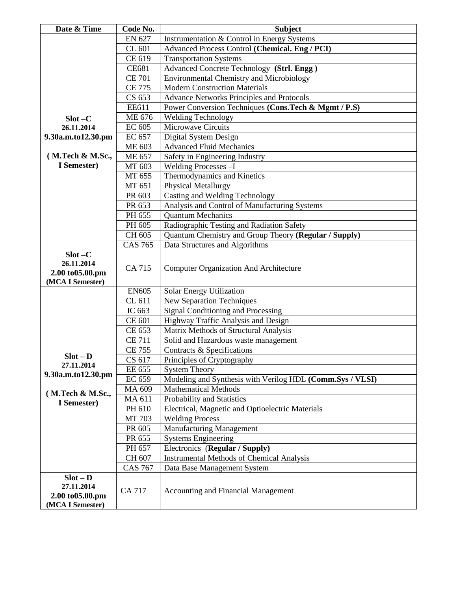| Date & Time        | Code No.       | <b>Subject</b>                                            |
|--------------------|----------------|-----------------------------------------------------------|
|                    | EN 627         | Instrumentation & Control in Energy Systems               |
|                    | CL 601         | Advanced Process Control (Chemical. Eng / PCI)            |
|                    | CE 619         | <b>Transportation Systems</b>                             |
|                    | <b>CE681</b>   | Advanced Concrete Technology (Strl. Engg)                 |
|                    | <b>CE 701</b>  | <b>Environmental Chemistry and Microbiology</b>           |
|                    | <b>CE 775</b>  | <b>Modern Construction Materials</b>                      |
|                    | CS 653         | <b>Advance Networks Principles and Protocols</b>          |
|                    | EE611          | Power Conversion Techniques (Cons.Tech & Mgmt / P.S)      |
| $Slot - C$         | ME 676         | <b>Welding Technology</b>                                 |
| 26.11.2014         | EC 605         | Microwave Circuits                                        |
| 9.30a.m.to12.30.pm | EC 657         | Digital System Design                                     |
|                    | ME 603         | <b>Advanced Fluid Mechanics</b>                           |
| (M.Tech & M.Sc.,   | <b>ME 657</b>  | Safety in Engineering Industry                            |
| I Semester)        | MT 603         | Welding Processes -I                                      |
|                    | MT 655         | Thermodynamics and Kinetics                               |
|                    | MT 651         | Physical Metallurgy                                       |
|                    | PR 603         | Casting and Welding Technology                            |
|                    | PR 653         | Analysis and Control of Manufacturing Systems             |
|                    | PH 655         | <b>Quantum Mechanics</b>                                  |
|                    | PH 605         | Radiographic Testing and Radiation Safety                 |
|                    | CH 605         | Quantum Chemistry and Group Theory (Regular / Supply)     |
|                    | <b>CAS 765</b> | Data Structures and Algorithms                            |
| $Slot - C$         |                |                                                           |
| 26.11.2014         | CA 715         | <b>Computer Organization And Architecture</b>             |
| 2.00 to 05.00.pm   |                |                                                           |
| (MCA I Semester)   | <b>EN605</b>   | Solar Energy Utilization                                  |
|                    | CL 611         | <b>New Separation Techniques</b>                          |
|                    | IC 663         | <b>Signal Conditioning and Processing</b>                 |
|                    | CE 601         | Highway Traffic Analysis and Design                       |
|                    | CE 653         | Matrix Methods of Structural Analysis                     |
|                    | <b>CE 711</b>  | Solid and Hazardous waste management                      |
|                    | <b>CE 755</b>  | Contracts & Specifications                                |
| $Slot - D$         | CS 617         | Principles of Cryptography                                |
| 27.11.2014         | EE 655         | <b>System Theory</b>                                      |
| 9.30a.m.to12.30.pm | EC 659         | Modeling and Synthesis with Verilog HDL (Comm.Sys / VLSI) |
|                    | MA 609         | <b>Mathematical Methods</b>                               |
| (M.Tech & M.Sc.,   | MA 611         | Probability and Statistics                                |
| I Semester)        | PH 610         | Electrical, Magnetic and Optioelectric Materials          |
|                    | MT 703         | <b>Welding Process</b>                                    |
|                    | PR 605         | <b>Manufacturing Management</b>                           |
|                    | PR 655         | <b>Systems Engineering</b>                                |
|                    | PH 657         | Electronics (Regular / Supply)                            |
|                    | CH 607         | <b>Instrumental Methods of Chemical Analysis</b>          |
|                    | <b>CAS 767</b> | Data Base Management System                               |
| $Slot - D$         |                |                                                           |
| 27.11.2014         | <b>CA 717</b>  | <b>Accounting and Financial Management</b>                |
| 2.00 to 05.00.pm   |                |                                                           |
| (MCA I Semester)   |                |                                                           |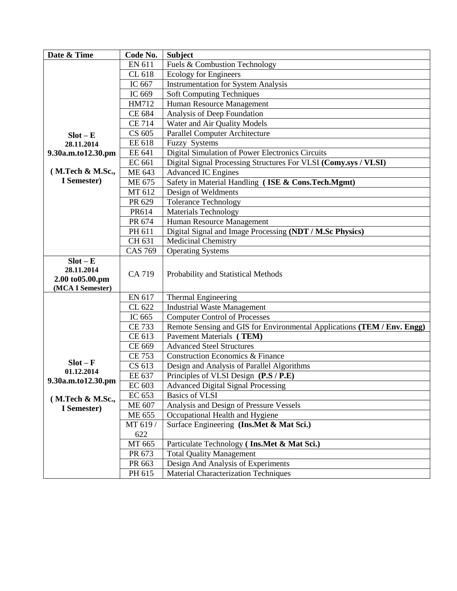| Date & Time        | Code No.       | <b>Subject</b>                                                          |
|--------------------|----------------|-------------------------------------------------------------------------|
|                    | <b>EN 611</b>  | Fuels & Combustion Technology                                           |
|                    | CL 618         | <b>Ecology for Engineers</b>                                            |
|                    | IC 667         | <b>Instrumentation for System Analysis</b>                              |
|                    | IC 669         | <b>Soft Computing Techniques</b>                                        |
|                    | HM712          | Human Resource Management                                               |
|                    | CE 684         | Analysis of Deep Foundation                                             |
|                    | <b>CE 714</b>  | Water and Air Quality Models                                            |
| $Slot - E$         | CS 605         | <b>Parallel Computer Architecture</b>                                   |
| 28.11.2014         | EE 618         | <b>Fuzzy Systems</b>                                                    |
| 9.30a.m.to12.30.pm | EE 641         | Digital Simulation of Power Electronics Circuits                        |
|                    | EC 661         | Digital Signal Processing Structures For VLSI (Comy.sys / VLSI)         |
| (M.Tech & M.Sc.,   | ME 643         | <b>Advanced IC Engines</b>                                              |
| I Semester)        | ME 675         | Safety in Material Handling (ISE & Cons.Tech.Mgmt)                      |
|                    | MT 612         | Design of Weldments                                                     |
|                    | PR 629         | Tolerance Technology                                                    |
|                    | PR614          | <b>Materials Technology</b>                                             |
|                    | PR 674         | Human Resource Management                                               |
|                    | PH 611         | Digital Signal and Image Processing (NDT / M.Sc Physics)                |
|                    | CH 631         | Medicinal Chemistry                                                     |
|                    | <b>CAS 769</b> | <b>Operating Systems</b>                                                |
| $Slot - E$         |                |                                                                         |
| 28.11.2014         |                |                                                                         |
| 2.00 to 05.00.pm   | CA 719         | Probability and Statistical Methods                                     |
| (MCA I Semester)   |                |                                                                         |
|                    | EN 617         | Thermal Engineering                                                     |
|                    | CL 622         | <b>Industrial Waste Management</b>                                      |
|                    | IC 665         | <b>Computer Control of Processes</b>                                    |
|                    | <b>CE 733</b>  | Remote Sensing and GIS for Environmental Applications (TEM / Env. Engg) |
|                    | CE 613         | Pavement Materials (TEM)                                                |
|                    | CE 669         | <b>Advanced Steel Structures</b>                                        |
|                    | CE 753         | <b>Construction Economics &amp; Finance</b>                             |
| $Slot - F$         | CS 613         | Design and Analysis of Parallel Algorithms                              |
| 01.12.2014         | EE 637         | Principles of VLSI Design (P.S / P.E)                                   |
| 9.30a.m.to12.30.pm | EC 603         | <b>Advanced Digital Signal Processing</b>                               |
| (M.Tech & M.Sc.,   | EC 653         | <b>Basics of VLSI</b>                                                   |
| I Semester)        | ME 607         | Analysis and Design of Pressure Vessels                                 |
|                    | ME 655         | Occupational Health and Hygiene                                         |
|                    | MT 619 /       | Surface Engineering (Ins.Met & Mat Sci.)                                |
|                    | 622            |                                                                         |
|                    | MT 665         | Particulate Technology (Ins.Met & Mat Sci.)                             |
|                    | PR 673         | <b>Total Quality Management</b>                                         |
|                    | PR 663         | Design And Analysis of Experiments                                      |
|                    | PH 615         | Material Characterization Techniques                                    |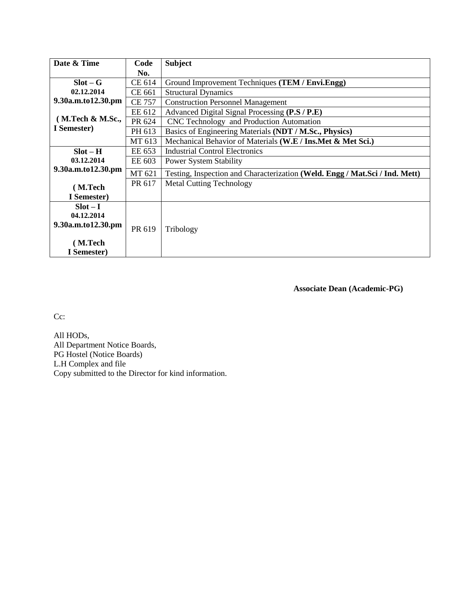| Date & Time        | Code          | <b>Subject</b>                                                              |
|--------------------|---------------|-----------------------------------------------------------------------------|
|                    | No.           |                                                                             |
| $Slot - G$         | CE 614        | Ground Improvement Techniques (TEM / Envi.Engg)                             |
| 02.12.2014         | CE 661        | <b>Structural Dynamics</b>                                                  |
| 9.30a.m.to12.30.pm | <b>CE 757</b> | <b>Construction Personnel Management</b>                                    |
|                    | EE 612        | Advanced Digital Signal Processing (P.S / P.E)                              |
| (M.Tech & M.Sc.,   | PR 624        | CNC Technology and Production Automation                                    |
| I Semester)        | PH 613        | Basics of Engineering Materials (NDT / M.Sc., Physics)                      |
|                    | MT 613        | Mechanical Behavior of Materials (W.E / Ins.Met & Met Sci.)                 |
| $Slot - H$         | EE 653        | <b>Industrial Control Electronics</b>                                       |
| 03.12.2014         | EE 603        | <b>Power System Stability</b>                                               |
| 9.30a.m.to12.30.pm | MT 621        | Testing, Inspection and Characterization (Weld. Engg / Mat.Sci / Ind. Mett) |
| (M.Tech            | PR 617        | <b>Metal Cutting Technology</b>                                             |
| I Semester)        |               |                                                                             |
| $Slot-I$           |               |                                                                             |
| 04.12.2014         |               |                                                                             |
| 9.30a.m.to12.30.pm | PR 619        |                                                                             |
|                    |               | Tribology                                                                   |
| (M.Tech            |               |                                                                             |
| I Semester)        |               |                                                                             |

**Associate Dean (Academic-PG)**

Cc:

All HODs, All Department Notice Boards, PG Hostel (Notice Boards) L.H Complex and file Copy submitted to the Director for kind information.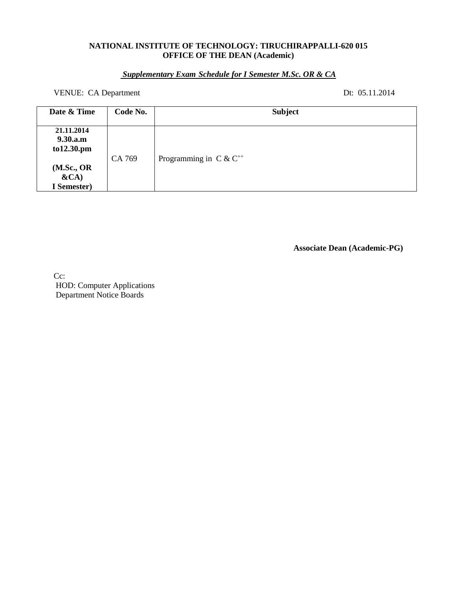### **NATIONAL INSTITUTE OF TECHNOLOGY: TIRUCHIRAPPALLI-620 015 OFFICE OF THE DEAN (Academic)**

# *Supplementary Exam Schedule for I Semester M.Sc. OR & CA*

VENUE: CA Department Dt: 05.11.2014

| Date & Time                          | Code No. | <b>Subject</b>              |
|--------------------------------------|----------|-----------------------------|
| 21.11.2014<br>9.30.a.m<br>to12.30.pm |          |                             |
| (M.Sc., OR<br>$\&CA)$<br>I Semester) | CA 769   | Programming in $C & C^{++}$ |

**Associate Dean (Academic-PG)**

Cc: HOD: Computer Applications Department Notice Boards